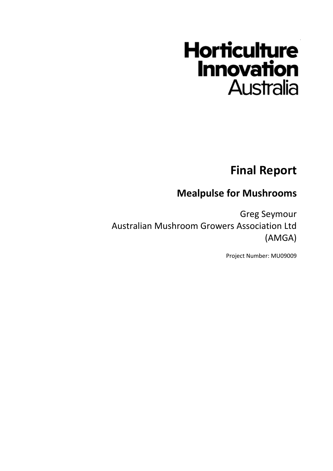# **Horticulture Innovation Australia**

# **Final Report**

# **Mealpulse for Mushrooms**

Greg Seymour Australian Mushroom Growers Association Ltd (AMGA)

Project Number: MU09009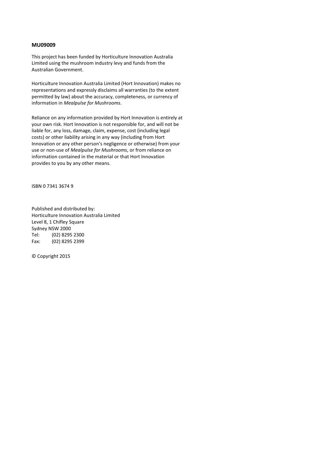#### **MU09009**

This project has been funded by Horticulture Innovation Australia Limited using the mushroom industry levy and funds from the Australian Government.

Horticulture Innovation Australia Limited (Hort Innovation) makes no representations and expressly disclaims all warranties (to the extent permitted by law) about the accuracy, completeness, or currency of information in *Mealpulse for Mushrooms*.

Reliance on any information provided by Hort Innovation is entirely at your own risk. Hort Innovation is not responsible for, and will not be liable for, any loss, damage, claim, expense, cost (including legal costs) or other liability arising in any way (including from Hort Innovation or any other person's negligence or otherwise) from your use or non-use of *Mealpulse for Mushrooms*, or from reliance on information contained in the material or that Hort Innovation provides to you by any other means.

ISBN 0 7341 3674 9

Published and distributed by: Horticulture Innovation Australia Limited Level 8, 1 Chifley Square Sydney NSW 2000 Tel: (02) 8295 2300 Fax: (02) 8295 2399

© Copyright 2015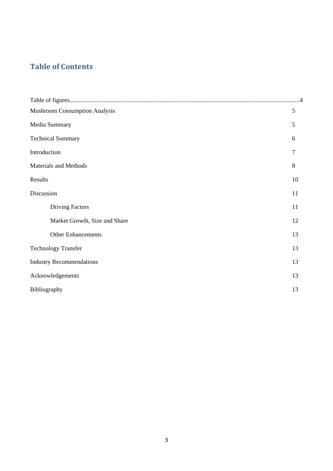### **Table of Contents**

| <b>Mushroom Consumption Analysis</b> | $\mathfrak{S}$ |  |  |
|--------------------------------------|----------------|--|--|
| Media Summary                        | 5              |  |  |
| <b>Technical Summary</b>             | 6              |  |  |
| Introduction                         | 7              |  |  |
| Materials and Methods                | 8              |  |  |
| Results                              | 10             |  |  |
| Discussion                           | 11             |  |  |
| <b>Driving Factors</b>               | 11             |  |  |
| Market Growth, Size and Share        | 12             |  |  |
| <b>Other Enhancements</b>            | 13             |  |  |
| <b>Technology Transfer</b>           | 13             |  |  |
| <b>Industry Recommendations</b>      | 13             |  |  |
| Acknowledgements                     | 13             |  |  |
| Bibliography                         |                |  |  |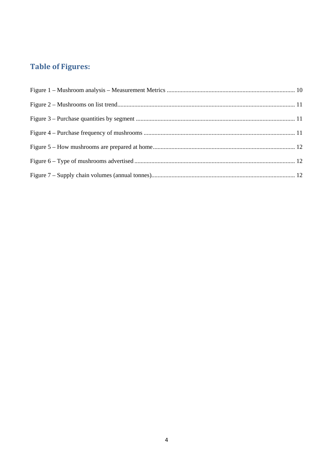## **Table of Figures:**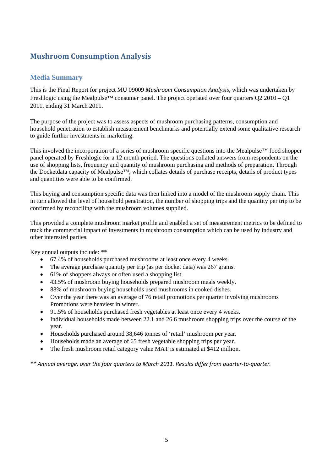#### **Mushroom Consumption Analysis**

#### **Media Summary**

This is the Final Report for project MU 09009 *Mushroom Consumption Analysis*, which was undertaken by Freshlogic using the Mealpulse™ consumer panel. The project operated over four quarters Q2 2010 – Q1 2011, ending 31 March 2011.

The purpose of the project was to assess aspects of mushroom purchasing patterns, consumption and household penetration to establish measurement benchmarks and potentially extend some qualitative research to guide further investments in marketing.

This involved the incorporation of a series of mushroom specific questions into the Mealpulse™ food shopper panel operated by Freshlogic for a 12 month period. The questions collated answers from respondents on the use of shopping lists, frequency and quantity of mushroom purchasing and methods of preparation. Through the Docketdata capacity of Mealpulse™, which collates details of purchase receipts, details of product types and quantities were able to be confirmed.

This buying and consumption specific data was then linked into a model of the mushroom supply chain. This in turn allowed the level of household penetration, the number of shopping trips and the quantity per trip to be confirmed by reconciling with the mushroom volumes supplied.

This provided a complete mushroom market profile and enabled a set of measurement metrics to be defined to track the commercial impact of investments in mushroom consumption which can be used by industry and other interested parties.

Key annual outputs include: \*\*

- 67.4% of households purchased mushrooms at least once every 4 weeks.
- The average purchase quantity per trip (as per docket data) was 267 grams.
- 61% of shoppers always or often used a shopping list.
- 43.5% of mushroom buying households prepared mushroom meals weekly.
- 88% of mushroom buying households used mushrooms in cooked dishes.
- Over the year there was an average of 76 retail promotions per quarter involving mushrooms Promotions were heaviest in winter.
- 91.5% of households purchased fresh vegetables at least once every 4 weeks.
- Individual households made between 22.1 and 26.6 mushroom shopping trips over the course of the year.
- Households purchased around 38,646 tonnes of 'retail' mushroom per year.
- Households made an average of 65 fresh vegetable shopping trips per year.
- The fresh mushroom retail category value MAT is estimated at \$412 million.

*\*\* Annual average, over the four quarters to March 2011. Results differ from quarter‐to‐quarter.*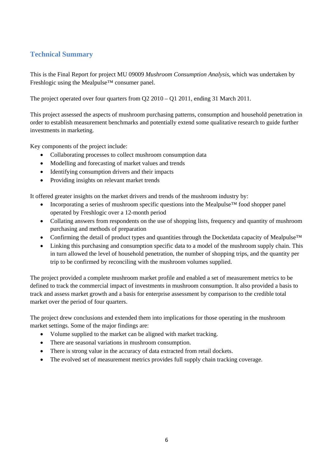#### **Technical Summary**

This is the Final Report for project MU 09009 *Mushroom Consumption Analysis*, which was undertaken by Freshlogic using the Mealpulse™ consumer panel.

The project operated over four quarters from Q2 2010 – Q1 2011, ending 31 March 2011.

This project assessed the aspects of mushroom purchasing patterns, consumption and household penetration in order to establish measurement benchmarks and potentially extend some qualitative research to guide further investments in marketing.

Key components of the project include:

- Collaborating processes to collect mushroom consumption data
- Modelling and forecasting of market values and trends
- Identifying consumption drivers and their impacts
- Providing insights on relevant market trends

It offered greater insights on the market drivers and trends of the mushroom industry by:

- Incorporating a series of mushroom specific questions into the Mealpulse<sup>™</sup> food shopper panel operated by Freshlogic over a 12-month period
- Collating answers from respondents on the use of shopping lists, frequency and quantity of mushroom purchasing and methods of preparation
- Confirming the detail of product types and quantities through the Docketdata capacity of Mealpulse<sup>™</sup>
- Linking this purchasing and consumption specific data to a model of the mushroom supply chain. This in turn allowed the level of household penetration, the number of shopping trips, and the quantity per trip to be confirmed by reconciling with the mushroom volumes supplied.

The project provided a complete mushroom market profile and enabled a set of measurement metrics to be defined to track the commercial impact of investments in mushroom consumption. It also provided a basis to track and assess market growth and a basis for enterprise assessment by comparison to the credible total market over the period of four quarters.

The project drew conclusions and extended them into implications for those operating in the mushroom market settings. Some of the major findings are:

- Volume supplied to the market can be aligned with market tracking.
- There are seasonal variations in mushroom consumption.
- There is strong value in the accuracy of data extracted from retail dockets.
- The evolved set of measurement metrics provides full supply chain tracking coverage.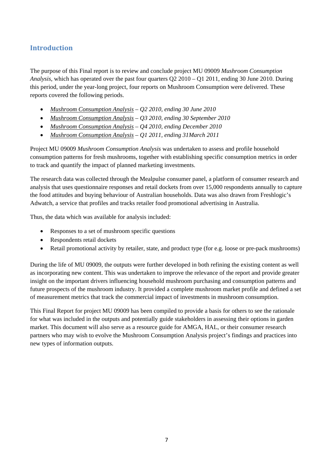#### **Introduction**

The purpose of this Final report is to review and conclude project MU 09009 *Mushroom Consumption Analysis*, which has operated over the past four quarters Q2 2010 – Q1 2011, ending 30 June 2010. During this period, under the year-long project, four reports on Mushroom Consumption were delivered. These reports covered the following periods.

- *Mushroom Consumption Analysis Q2 2010, ending 30 June 2010*
- *Mushroom Consumption Analysis Q3 2010, ending 30 September 2010*
- *Mushroom Consumption Analysis Q4 2010, ending December 2010*
- *Mushroom Consumption Analysis Q1 2011, ending 31March 2011*

Project MU 09009 *Mushroom Consumption Analysis* was undertaken to assess and profile household consumption patterns for fresh mushrooms, together with establishing specific consumption metrics in order to track and quantify the impact of planned marketing investments.

The research data was collected through the Mealpulse consumer panel, a platform of consumer research and analysis that uses questionnaire responses and retail dockets from over 15,000 respondents annually to capture the food attitudes and buying behaviour of Australian households. Data was also drawn from Freshlogic's Adwatch, a service that profiles and tracks retailer food promotional advertising in Australia.

Thus, the data which was available for analysis included:

- Responses to a set of mushroom specific questions
- Respondents retail dockets
- Retail promotional activity by retailer, state, and product type (for e.g. loose or pre-pack mushrooms)

During the life of MU 09009, the outputs were further developed in both refining the existing content as well as incorporating new content. This was undertaken to improve the relevance of the report and provide greater insight on the important drivers influencing household mushroom purchasing and consumption patterns and future prospects of the mushroom industry. It provided a complete mushroom market profile and defined a set of measurement metrics that track the commercial impact of investments in mushroom consumption.

This Final Report for project MU 09009 has been compiled to provide a basis for others to see the rationale for what was included in the outputs and potentially guide stakeholders in assessing their options in garden market. This document will also serve as a resource guide for AMGA, HAL, or their consumer research partners who may wish to evolve the Mushroom Consumption Analysis project's findings and practices into new types of information outputs.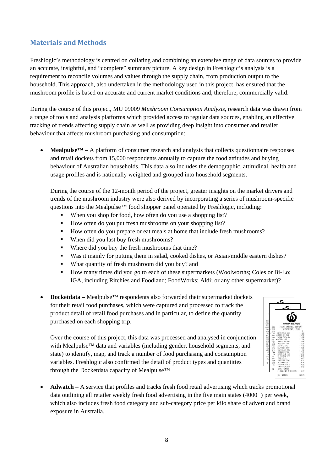#### **Materials and Methods**

Freshlogic's methodology is centred on collating and combining an extensive range of data sources to provide an accurate, insightful, and "complete" summary picture. A key design in Freshlogic's analysis is a requirement to reconcile volumes and values through the supply chain, from production output to the household. This approach, also undertaken in the methodology used in this project, has ensured that the mushroom profile is based on accurate and current market conditions and, therefore, commercially valid.

During the course of this project, MU 09009 *Mushroom Consumption Analysis*, research data was drawn from a range of tools and analysis platforms which provided access to regular data sources, enabling an effective tracking of trends affecting supply chain as well as providing deep insight into consumer and retailer behaviour that affects mushroom purchasing and consumption:

**Mealpulse**<sup> $TM$ </sup> – A platform of consumer research and analysis that collects questionnaire responses and retail dockets from 15,000 respondents annually to capture the food attitudes and buying behaviour of Australian households. This data also includes the demographic, attitudinal, health and usage profiles and is nationally weighted and grouped into household segments.

During the course of the 12-month period of the project, greater insights on the market drivers and trends of the mushroom industry were also derived by incorporating a series of mushroom-specific questions into the Mealpulse™ food shopper panel operated by Freshlogic, including:

- When you shop for food, how often do you use a shopping list?
- How often do you put fresh mushrooms on your shopping list?
- How often do you prepare or eat meals at home that include fresh mushrooms?
- When did you last buy fresh mushrooms?
- Where did you buy the fresh mushrooms that time?
- Was it mainly for putting them in salad, cooked dishes, or Asian/middle eastern dishes?
- What quantity of fresh mushroom did you buy? and
- How many times did you go to each of these supermarkets (Woolworths; Coles or Bi-Lo; IGA, including Ritchies and Foodland; FoodWorks; Aldi; or any other supermarket)?
- **Docketdata**  Mealpulse™ respondents also forwarded their supermarket dockets for their retail food purchases, which were captured and processed to track the product detail of retail food purchases and in particular, to define the quantity purchased on each shopping trip.

Over the course of this project, this data was processed and analysed in conjunction with Mealpulse<sup>™</sup> data and variables (including gender, household segments, and state) to identify, map, and track a number of food purchasing and consumption variables. Freshlogic also confirmed the detail of product types and quantities through the Docketdata capacity of Mealpulse™



• **Adwatch** – A service that profiles and tracks fresh food retail advertising which tracks promotional data outlining all retailer weekly fresh food advertising in the five main states (4000+) per week, which also includes fresh food category and sub-category price per kilo share of advert and brand exposure in Australia.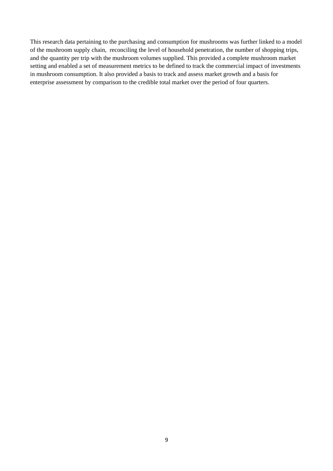This research data pertaining to the purchasing and consumption for mushrooms was further linked to a model of the mushroom supply chain, reconciling the level of household penetration, the number of shopping trips, and the quantity per trip with the mushroom volumes supplied. This provided a complete mushroom market setting and enabled a set of measurement metrics to be defined to track the commercial impact of investments in mushroom consumption. It also provided a basis to track and assess market growth and a basis for enterprise assessment by comparison to the credible total market over the period of four quarters.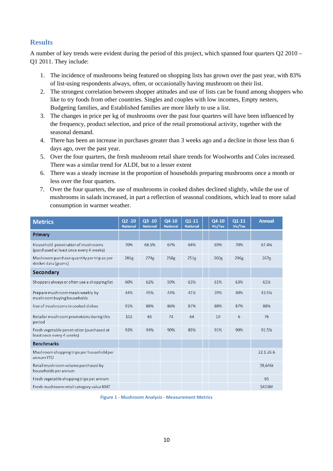#### **Results**

A number of key trends were evident during the period of this project, which spanned four quarters Q2 2010 – Q1 2011. They include:

- 1. The incidence of mushrooms being featured on shopping lists has grown over the past year, with 83% of list-using respondents always, often, or occasionally having mushroom on their list.
- 2. The strongest correlation between shopper attitudes and use of lists can be found among shoppers who like to try foods from other countries. Singles and couples with low incomes, Empty nesters, Budgeting families, and Established families are more likely to use a list.
- 3. The changes in price per kg of mushrooms over the past four quarters will have been influenced by the frequency, product selection, and price of the retail promotional activity, together with the seasonal demand.
- 4. There has been an increase in purchases greater than 3 weeks ago and a decline in those less than 6 days ago, over the past year.
- 5. Over the four quarters, the fresh mushroom retail share trends for Woolworths and Coles increased. There was a similar trend for ALDI, but to a lesser extent
- 6. There was a steady increase in the proportion of households preparing mushrooms once a month or less over the four quarters.
- 7. Over the four quarters, the use of mushrooms in cooked dishes declined slightly, while the use of mushrooms in salads increased, in part a reflection of seasonal conditions, which lead to more salad consumption in warmer weather.

| <b>Metrics</b>                                                                | $Q2 - 10$<br><b>National</b> | $Q3 - 10$<br><b>National</b> | $Q4-10$<br><b>National</b> | $Q1-11$<br><b>National</b> | $Q4-10$<br>Vic/Tas | Q1-11<br>Vic/Tas | <b>Annual</b> |
|-------------------------------------------------------------------------------|------------------------------|------------------------------|----------------------------|----------------------------|--------------------|------------------|---------------|
| Primary                                                                       |                              |                              |                            |                            |                    |                  |               |
| Household penetration of mushrooms<br>(purchased at least once every 4 weeks) | 70%                          | 68.5%                        | 67%                        | 64%                        | 69%                | 70%              | 67.4%         |
| Mushroom purchase quantity per trip as per<br>docket data (grams)             | 286g                         | 274g                         | 258g                       | 251g                       | 260g               | 296g             | 267g          |
| Secondary                                                                     |                              |                              |                            |                            |                    |                  |               |
| Shoppers always or often use a shopping list                                  | 60%                          | 62%                          | 59%                        | 63%                        | 61%                | 63%              | 61%           |
| Prepare mushroom meals weekly by<br>mushroom buying households                | 44%                          | 45%                          | 44%                        | 41%                        | 39%                | 40%              | 43.5%         |
| Use of mushrooms in cooked dishes                                             | 91%                          | 88%                          | 86%                        | 87%                        | 88%                | 87%              | 88%           |
| Retailer mushroom promotions during this<br>period                            | 102                          | 65                           | 74                         | 64                         | 19                 | 6                | 76            |
| Fresh vegetable penetration (purchased at<br>least once every 4 weeks)        | 93%                          | 94%                          | 90%                        | 89%                        | 91%                | 90%              | 91.5%         |
| <b>Benchmarks</b>                                                             |                              |                              |                            |                            |                    |                  |               |
| Mushroom shopping trips per household per<br>annum YTD                        |                              |                              |                            |                            |                    |                  | 22.1-26.6     |
| Retail mushroom volume purchased by<br>households per annum                   |                              |                              |                            |                            |                    |                  | 38,646t       |
| Fresh vegetable shopping trips per annum                                      |                              |                              |                            |                            |                    |                  | 65            |
| Fresh mushroom retail category value MAT                                      |                              |                              |                            |                            |                    |                  | \$421M        |

**Figure 1 ‐ Mushroom Analysis ‐ Measurement Metrics**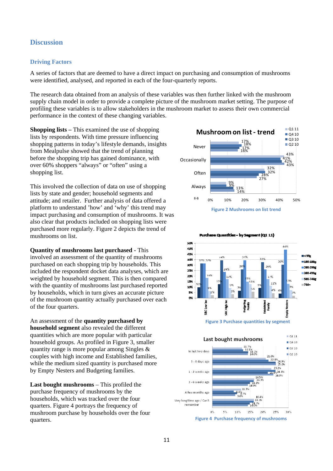#### **Discussion**

#### **Driving Factors**

A series of factors that are deemed to have a direct impact on purchasing and consumption of mushrooms were identified, analysed, and reported in each of the four-quarterly reports.

The research data obtained from an analysis of these variables was then further linked with the mushroom supply chain model in order to provide a complete picture of the mushroom market setting. The purpose of profiling these variables is to allow stakeholders in the mushroom market to assess their own commercial performance in the context of these changing variables.

**Shopping lists –** This examined the use of shopping lists by respondents. With time pressure influencing shopping patterns in today's lifestyle demands, insights from Mealpulse showed that the trend of planning before the shopping trip has gained dominance, with over 60% shoppers "always" or "often" using a shopping list.

This involved the collection of data on use of shopping lists by state and gender; household segments and attitude; and retailer. Further analysis of data offered a platform to understand 'how' and 'why' this trend may impact purchasing and consumption of mushrooms. It was also clear that products included on shopping lists were purchased more regularly. Figure 2 depicts the trend of mushrooms on list.

**Quantity of mushrooms last purchased -** This involved an assessment of the quantity of mushrooms purchased on each shopping trip by households. This included the respondent docket data analyses, which are weighted by household segment. This is then compared with the quantity of mushrooms last purchased reported by households, which in turn gives an accurate picture of the mushroom quantity actually purchased over each of the four quarters.

An assessment of the **quantity purchased by household segment** also revealed the different quantities which are more popular with particular household groups. As profiled in Figure 3, smaller quantity range is more popular among Singles & couples with high income and Established families, while the medium sized quantity is purchased more by Empty Nesters and Budgeting families.

**Last bought mushrooms** – This profiled the purchase frequency of mushrooms by the households, which was tracked over the four quarters. Figure 4 portrays the frequency of mushroom purchase by households over the four quarters.





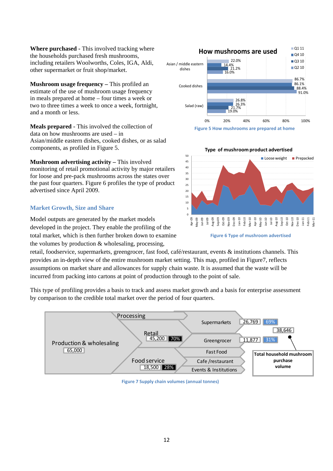**Where purchased -** This involved tracking where the households purchased fresh mushrooms, including retailers Woolworths, Coles, IGA, Aldi, other supermarket or fruit shop/market.

**Mushroom usage frequency –** This profiled an estimate of the use of mushroom usage frequency in meals prepared at home – four times a week or two to three times a week to once a week, fortnight, and a month or less.

**Meals prepared -** This involved the collection of data on how mushrooms are used – in Asian/middle eastern dishes, cooked dishes, or as salad components, as profiled in Figure 5.

**Mushroom advertising activity –** This involved monitoring of retail promotional activity by major retailers for loose and pre-pack mushrooms across the states over the past four quarters. Figure 6 profiles the type of product advertised since April 2009.

#### **Market Growth, Size and Share**

Model outputs are generated by the market models developed in the project. They enable the profiling of the total market, which is then further broken down to examine the volumes by production & wholesaling, processing,

retail, foodservice, supermarkets, greengrocer, fast food, café/restaurant, events & institutions channels. This provides an in-depth view of the entire mushroom market setting. This map, profiled in Figure7, reflects assumptions on market share and allowances for supply chain waste. It is assumed that the waste will be incurred from packing into cartons at point of production through to the point of sale.

This type of profiling provides a basis to track and assess market growth and a basis for enterprise assessment by comparison to the credible total market over the period of four quarters.



**Figure 7 Supply chain volumes (annual tonnes)**





**Figure 6 Type of mushroom advertised**